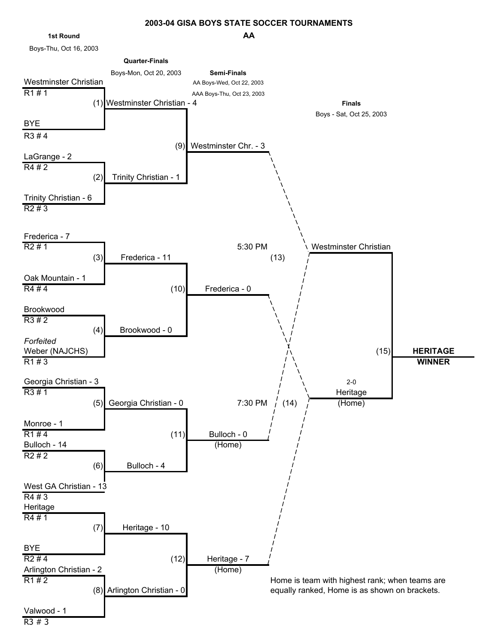## **AA 2003-04 GISA BOYS STATE SOCCER TOURNAMENTS**



Boys-Thu, Oct 16, 2003

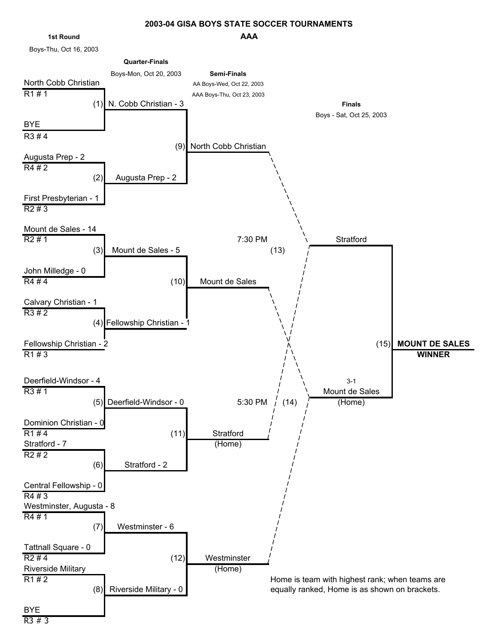## **AAA 2003-04 GISA BOYS STATE SOCCER TOURNAMENTS**

#### **1st Round**

Boys-Thu, Oct 16, 2003

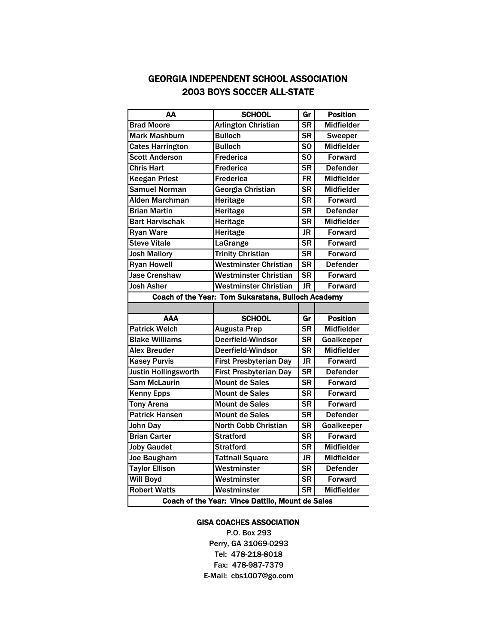# GEORGIA INDEPENDENT SCHOOL ASSOCIATION 2003 BOYS SOCCER ALL-STATE

| АΑ                                                 | <b>SCHOOL</b>                 | Gr             | <b>Position</b>   |  |  |
|----------------------------------------------------|-------------------------------|----------------|-------------------|--|--|
| <b>Brad Moore</b>                                  | <b>Arlington Christian</b>    | <b>SR</b>      | <b>Midfielder</b> |  |  |
| <b>Mark Mashburn</b>                               | <b>Bulloch</b>                | <b>SR</b>      | <b>Sweeper</b>    |  |  |
| <b>Cates Harrington</b>                            | <b>Bulloch</b>                | S <sub>O</sub> | <b>Midfielder</b> |  |  |
| <b>Scott Anderson</b>                              | <b>Frederica</b>              | S <sub>O</sub> | <b>Forward</b>    |  |  |
| <b>Chris Hart</b>                                  | <b>Frederica</b>              | <b>SR</b>      | <b>Defender</b>   |  |  |
| <b>Keegan Priest</b>                               | <b>Frederica</b>              | <b>FR</b>      | <b>Midfielder</b> |  |  |
| <b>Samuel Norman</b>                               | Georgia Christian             | <b>SR</b>      | <b>Midfielder</b> |  |  |
| Alden Marchman                                     | Heritage                      | <b>SR</b>      | <b>Forward</b>    |  |  |
| <b>Brian Martin</b>                                | Heritage                      | <b>SR</b>      | <b>Defender</b>   |  |  |
| <b>Bart Harvischak</b>                             | Heritage                      | <b>SR</b>      | <b>Midfielder</b> |  |  |
| <b>Ryan Ware</b>                                   | Heritage                      | <b>JR</b>      | <b>Forward</b>    |  |  |
| <b>Steve Vitale</b>                                | LaGrange                      | <b>SR</b>      | <b>Forward</b>    |  |  |
| <b>Josh Mallory</b>                                | <b>Trinity Christian</b>      | <b>SR</b>      | <b>Forward</b>    |  |  |
| <b>Ryan Howell</b>                                 | Westminster Christian         | <b>SR</b>      | <b>Defender</b>   |  |  |
| <b>Jase Crenshaw</b>                               | <b>Westminster Christian</b>  | <b>SR</b>      | <b>Forward</b>    |  |  |
| <b>Josh Asher</b>                                  | <b>Westminster Christian</b>  | <b>JR</b>      | <b>Forward</b>    |  |  |
| Coach of the Year: Tom Sukaratana, Bulloch Academy |                               |                |                   |  |  |
|                                                    |                               |                |                   |  |  |
| AAA                                                | <b>SCHOOL</b>                 | Gr             | <b>Position</b>   |  |  |
| <b>Patrick Welch</b>                               | <b>Augusta Prep</b>           | <b>SR</b>      | <b>Midfielder</b> |  |  |
| <b>Blake Williams</b>                              | Deerfield-Windsor             | <b>SR</b>      | Goalkeeper        |  |  |
| <b>Alex Breuder</b>                                | Deerfield-Windsor             | <b>SR</b>      | <b>Midfielder</b> |  |  |
| <b>Kasey Purvis</b>                                | <b>First Presbyterian Day</b> | JR             | <b>Forward</b>    |  |  |
| Justin Hollingsworth                               | <b>First Presbyterian Day</b> | <b>SR</b>      | <b>Defender</b>   |  |  |
| <b>Sam McLaurin</b>                                | <b>Mount de Sales</b>         | <b>SR</b>      | <b>Forward</b>    |  |  |
| <b>Kenny Epps</b>                                  | <b>Mount de Sales</b>         | <b>SR</b>      | <b>Forward</b>    |  |  |
| <b>Tony Arena</b>                                  | <b>Mount de Sales</b>         | <b>SR</b>      | <b>Forward</b>    |  |  |
| <b>Patrick Hansen</b>                              | <b>Mount de Sales</b>         | <b>SR</b>      | <b>Defender</b>   |  |  |
| John Day                                           | <b>North Cobb Christian</b>   | <b>SR</b>      | Goalkeeper        |  |  |
| <b>Brian Carter</b>                                | <b>Stratford</b>              | <b>SR</b>      | <b>Forward</b>    |  |  |
| <b>Joby Gaudet</b>                                 | <b>Stratford</b>              | <b>SR</b>      | <b>Midfielder</b> |  |  |
| <b>Joe Baugham</b>                                 | <b>Tattnall Square</b>        | JR             | <b>Midfielder</b> |  |  |
| <b>Taylor Ellison</b>                              | Westminster                   | <b>SR</b>      | <b>Defender</b>   |  |  |
| <b>Will Boyd</b>                                   | Westminster                   | <b>SR</b>      | <b>Forward</b>    |  |  |
| <b>Robert Watts</b>                                | Westminster                   | <b>SR</b>      | <b>Midfielder</b> |  |  |
| Coach of the Year: Vince Dattilo, Mount de Sales   |                               |                |                   |  |  |

### GISA COACHES ASSOCIATION

Fax: 478-987-7379 E-Mail: cbs1007@go.com P.O. Box 293 Perry, GA 31069-0293 Tel: 478-218-8018